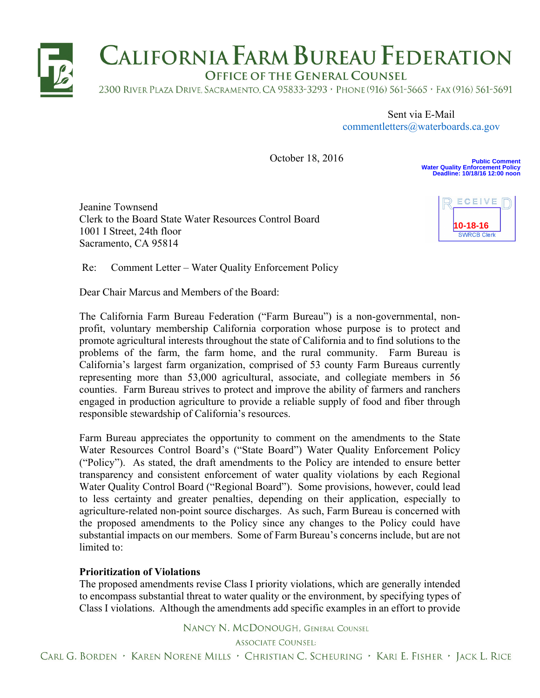

Sent via E-Mail commentletters@waterboards.ca.gov

 October 18, 2016

**Public Comment Water Quality Enforcement Policy Deadline: 10/18/16 12:00 noon**

Jeanine Townsend Clerk to the Board State Water Resources Control Board 1001 I Street, 24th floor Sacramento, CA 95814



Re: Comment Letter – Water Quality Enforcement Policy

Dear Chair Marcus and Members of the Board:

The California Farm Bureau Federation ("Farm Bureau") is a non-governmental, nonprofit, voluntary membership California corporation whose purpose is to protect and promote agricultural interests throughout the state of California and to find solutions to the problems of the farm, the farm home, and the rural community. Farm Bureau is California's largest farm organization, comprised of 53 county Farm Bureaus currently representing more than 53,000 agricultural, associate, and collegiate members in 56 counties. Farm Bureau strives to protect and improve the ability of farmers and ranchers engaged in production agriculture to provide a reliable supply of food and fiber through responsible stewardship of California's resources.

Farm Bureau appreciates the opportunity to comment on the amendments to the State Water Resources Control Board's ("State Board") Water Quality Enforcement Policy ("Policy"). As stated, the draft amendments to the Policy are intended to ensure better transparency and consistent enforcement of water quality violations by each Regional Water Quality Control Board ("Regional Board"). Some provisions, however, could lead to less certainty and greater penalties, depending on their application, especially to agriculture-related non-point source discharges. As such, Farm Bureau is concerned with the proposed amendments to the Policy since any changes to the Policy could have substantial impacts on our members. Some of Farm Bureau's concerns include, but are not limited to:

## **Prioritization of Violations**

The proposed amendments revise Class I priority violations, which are generally intended to encompass substantial threat to water quality or the environment, by specifying types of Class I violations. Although the amendments add specific examples in an effort to provide

NANCY N. MCDONOUGH, GENERAL COUNSEL

**ASSOCIATE COUNSEL:** 

CARL G. BORDEN • KAREN NORENE MILLS • CHRISTIAN C. SCHEURING • KARI E. FISHER • JACK L. RICE